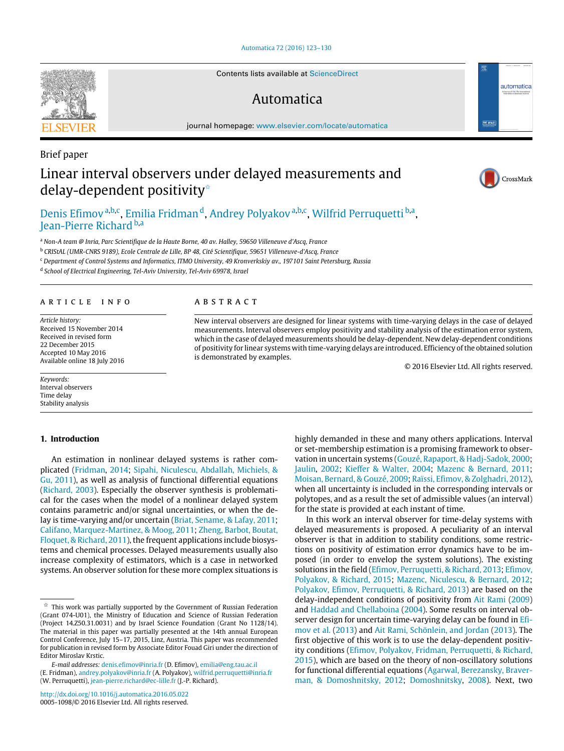## [Automatica 72 \(2016\) 123–130](http://dx.doi.org/10.1016/j.automatica.2016.05.022)

Contents lists available at [ScienceDirect](http://www.elsevier.com/locate/automatica)

# Automatica

journal homepage: [www.elsevier.com/locate/automatica](http://www.elsevier.com/locate/automatica)

# Brief paper Linear interval observers under delayed measurements and delay-dependent positivity<sup> $\triangle$ </sup>



CrossMark

automatica

# [Denis Efimov](#page-7-0)<sup>[a,](#page-0-1)[b](#page-0-2)[,c](#page-0-3)</sup>, [Emilia Fridman](#page-7-1)<sup>[d](#page-0-4)</sup>, [Andrey Polyakov](#page-7-2)<sup>[a](#page-0-1)[,b,](#page-0-2)[c](#page-0-3)</sup>, [Wilfrid Perruquetti](#page-7-3)<sup>[b,](#page-0-2)a</sup>, [Jean-Pierre Richard](#page-7-4) [b](#page-0-2)[,a](#page-0-1)

<span id="page-0-1"></span><sup>a</sup> *Non-A team @ Inria, Parc Scientifique de la Haute Borne, 40 av. Halley, 59650 Villeneuve d'Ascq, France*

<span id="page-0-2"></span><sup>b</sup> *CRIStAL (UMR-CNRS 9189), Ecole Centrale de Lille, BP 48, Cité Scientifique, 59651 Villeneuve-d'Ascq, France*

<span id="page-0-3"></span><sup>c</sup> *Department of Control Systems and Informatics, ITMO University, 49 Kronverkskiy av., 197101 Saint Petersburg, Russia*

<span id="page-0-4"></span>d *School of Electrical Engineering, Tel-Aviv University, Tel-Aviv 69978, Israel*

## ARTICLE INFO

*Article history:* Received 15 November 2014 Received in revised form 22 December 2015 Accepted 10 May 2016 Available online 18 July 2016

*Keywords:* Interval observers Time delay Stability analysis

# **1. Introduction**

An estimation in nonlinear delayed systems is rather complicated [\(Fridman,](#page-6-0) [2014;](#page-6-0) [Sipahi,](#page-7-5) [Niculescu,](#page-7-5) [Abdallah,](#page-7-5) [Michiels,](#page-7-5) [&](#page-7-5) [Gu,](#page-7-5) [2011\)](#page-7-5), as well as analysis of functional differential equations [\(Richard,](#page-7-6) [2003\)](#page-7-6). Especially the observer synthesis is problematical for the cases when the model of a nonlinear delayed system contains parametric and/or signal uncertainties, or when the delay is time-varying and/or uncertain [\(Briat,](#page-6-1) [Sename,](#page-6-1) [&](#page-6-1) [Lafay,](#page-6-1) [2011;](#page-6-1) [Califano,](#page-6-2) [Marquez-Martinez,](#page-6-2) [&](#page-6-2) [Moog,](#page-6-2) [2011;](#page-6-2) [Zheng,](#page-7-7) [Barbot,](#page-7-7) [Boutat,](#page-7-7) [Floquet,](#page-7-7) [&](#page-7-7) [Richard,](#page-7-7) [2011\)](#page-7-7), the frequent applications include biosystems and chemical processes. Delayed measurements usually also increase complexity of estimators, which is a case in networked systems. An observer solution for these more complex situations is

<http://dx.doi.org/10.1016/j.automatica.2016.05.022> 0005-1098/© 2016 Elsevier Ltd. All rights reserved.

#### A B S T R A C T

New interval observers are designed for linear systems with time-varying delays in the case of delayed measurements. Interval observers employ positivity and stability analysis of the estimation error system, which in the case of delayed measurements should be delay-dependent. New delay-dependent conditions of positivity for linear systems with time-varying delays are introduced. Efficiency of the obtained solution is demonstrated by examples.

© 2016 Elsevier Ltd. All rights reserved.

highly demanded in these and many others applications. Interval or set-membership estimation is a promising framework to observation in uncertain systems [\(Gouzé,](#page-6-3) [Rapaport,](#page-6-3) [&](#page-6-3) [Hadj-Sadok,](#page-6-3) [2000;](#page-6-3) [Jaulin,](#page-7-8) [2002;](#page-7-8) [Kieffer](#page-7-9) [&](#page-7-9) [Walter,](#page-7-9) [2004;](#page-7-9) [Mazenc](#page-7-10) [&](#page-7-10) [Bernard,](#page-7-10) [2011;](#page-7-10) [Moisan,](#page-7-11) [Bernard,](#page-7-11) [&](#page-7-11) [Gouzé,](#page-7-11) [2009;](#page-7-11) [Raïssi,](#page-7-12) [Efimov,](#page-7-12) [&](#page-7-12) [Zolghadri,](#page-7-12) [2012\)](#page-7-12), when all uncertainty is included in the corresponding intervals or polytopes, and as a result the set of admissible values (an interval) for the state is provided at each instant of time.

In this work an interval observer for time-delay systems with delayed measurements is proposed. A peculiarity of an interval observer is that in addition to stability conditions, some restrictions on positivity of estimation error dynamics have to be imposed (in order to envelop the system solutions). The existing solutions in the field [\(Efimov,](#page-6-4) [Perruquetti,](#page-6-4) [&](#page-6-4) [Richard,](#page-6-4) [2013;](#page-6-4) [Efimov,](#page-6-5) [Polyakov,](#page-6-5) [&](#page-6-5) [Richard,](#page-6-5) [2015;](#page-6-5) [Mazenc,](#page-7-13) [Niculescu,](#page-7-13) [&](#page-7-13) [Bernard,](#page-7-13) [2012;](#page-7-13) [Polyakov,](#page-7-14) [Efimov,](#page-7-14) [Perruquetti,](#page-7-14) [&](#page-7-14) [Richard,](#page-7-14) [2013\)](#page-7-14) are based on the delay-independent conditions of positivity from [Ait](#page-6-6) [Rami](#page-6-6) [\(2009\)](#page-6-6) and [Haddad](#page-6-7) [and](#page-6-7) [Chellaboina](#page-6-7) [\(2004\)](#page-6-7). Some results on interval ob[s](#page-6-4)erver design for uncertain time-varying delay can be found in [Efi](#page-6-4)[mov](#page-6-4) [et al.](#page-6-4) [\(2013\)](#page-6-4) and [Ait](#page-6-8) [Rami,](#page-6-8) [Schönlein,](#page-6-8) [and](#page-6-8) [Jordan](#page-6-8) [\(2013\)](#page-6-8). The first objective of this work is to use the delay-dependent positivity conditions [\(Efimov,](#page-6-9) [Polyakov,](#page-6-9) [Fridman,](#page-6-9) [Perruquetti,](#page-6-9) [&](#page-6-9) [Richard,](#page-6-9) [2015\)](#page-6-9), which are based on the theory of non-oscillatory solutions [f](#page-6-10)or functional differential equations [\(Agarwal,](#page-6-10) [Berezansky,](#page-6-10) [Braver](#page-6-10)[man,](#page-6-10) [&](#page-6-10) [Domoshnitsky,](#page-6-10) [2012;](#page-6-10) [Domoshnitsky,](#page-6-11) [2008\)](#page-6-11). Next, two



<span id="page-0-0"></span><sup>✩</sup> This work was partially supported by the Government of Russian Federation (Grant 074-U01), the Ministry of Education and Science of Russian Federation (Project 14.Z50.31.0031) and by Israel Science Foundation (Grant No 1128/14). The material in this paper was partially presented at the 14th annual European Control Conference, July 15–17, 2015, Linz, Austria. This paper was recommended for publication in revised form by Associate Editor Fouad Giri under the direction of Editor Miroslav Krstic.

*E-mail addresses:* [denis.efimov@inria.fr](mailto:denis.efimov@inria.fr) (D. Efimov), [emilia@eng.tau.ac.il](mailto:emilia@eng.tau.ac.il) (E. Fridman), [andrey.polyakov@inria.fr](mailto:andrey.polyakov@inria.fr) (A. Polyakov), [wilfrid.perruquetti@inria.fr](mailto:wilfrid.perruquetti@inria.fr) (W. Perruquetti), [jean-pierre.richard@ec-lille.fr](mailto:jean-pierre.richard@ec-lille.fr) (J.-P. Richard).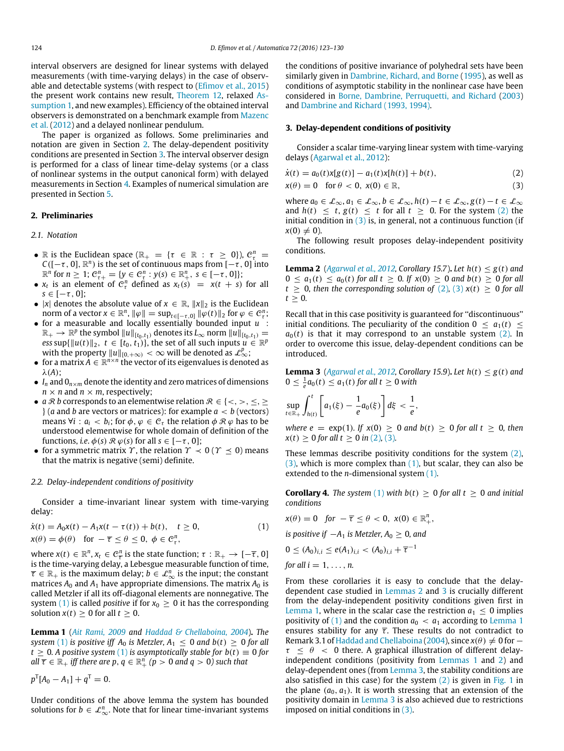interval observers are designed for linear systems with delayed measurements (with time-varying delays) in the case of observable and detectable systems (with respect to [\(Efimov](#page-6-9) [et al.,](#page-6-9) [2015\)](#page-6-9) [t](#page-2-0)he present work contains new result, [Theorem 12,](#page-5-0) relaxed [As](#page-2-0)[sumption 1,](#page-2-0) and new examples). Efficiency of the obtained interval observers is demonstrated on a benchmark example from [Mazenc](#page-7-13) [et al.](#page-7-13) [\(2012\)](#page-7-13) and a delayed nonlinear pendulum.

The paper is organized as follows. Some preliminaries and notation are given in Section [2.](#page-1-0) The delay-dependent positivity conditions are presented in Section [3.](#page-1-1) The interval observer design is performed for a class of linear time-delay systems (or a class of nonlinear systems in the output canonical form) with delayed measurements in Section [4.](#page-2-1) Examples of numerical simulation are presented in Section [5.](#page-5-1)

### <span id="page-1-0"></span>**2. Preliminaries**

#### *2.1. Notation*

- R is the Euclidean space ( $\mathbb{R}_+ = \{ \tau \in \mathbb{R} : \tau \geq 0 \}$ ),  $\mathcal{C}_\tau^n =$  $C([-\tau, 0], \mathbb{R}^n)$  is the set of continuous maps from  $[-\tau, 0]$  into  $\mathbb{R}^n$  for  $n \geq 1$ ;  $\mathcal{C}_{\tau+}^n = \{ y \in \mathcal{C}_{\tau}^n : y(s) \in \mathbb{R}_+^n, s \in [-\tau, 0] \};$
- $x_t$  is an element of  $C_\tau^n$  defined as  $x_t(s) = x(t + s)$  for all  $s \in [-\tau, 0]$ ;
- |*x*| denotes the absolute value of  $x \in \mathbb{R}$ ,  $||x||_2$  is the Euclidean norm of a vector  $x \in \mathbb{R}^n$ ,  $\|\varphi\| = \sup_{t \in [-\tau, 0]} \|\varphi(t)\|_2$  for  $\varphi \in \mathcal{C}_{\tau}^n$ ;
- for a measurable and locally essentially bounded input *u* :  $\mathbb{R}_+ \to \mathbb{R}^p$  the symbol  $||u||_{[t_0,t_1)}$  denotes its  $L_\infty$  norm  $||u||_{[t_0,t_1)} =$ *ess* sup{ $||u(t)||_2$ ,  $t \in [t_0, t_1)$ , the set of all such inputs  $u \in \mathbb{R}^p$ with the property  $||u||_{[0,+\infty)} < \infty$  will be denoted as  $\mathcal{L}_{\infty}^p$ ;
- for a matrix  $A \in \mathbb{R}^{n \times n}$  the vector of its eigenvalues is denoted as λ(*A*);
- $I_n$  and  $O_{n \times m}$  denote the identity and zero matrices of dimensions  $n \times n$  and  $n \times m$ , respectively;
- *a R b* corresponds to an elementwise relation  $\mathcal{R} \in \{<,>,\leq,\leq\}$  $\}$  (*a* and *b* are vectors or matrices): for example  $a < b$  (vectors) means  $\forall i : a_i < b_i$ ; for  $\phi, \phi \in \mathcal{C}_{\tau}$  the relation  $\phi \mathcal{R} \varphi$  has to be understood elementwise for whole domain of definition of the functions, *i.e.*  $\phi(s) \mathcal{R} \varphi(s)$  for all  $s \in [-\tau, 0]$ ;
- for a symmetric matrix  $\gamma$ , the relation  $\gamma \prec 0$  ( $\gamma \preceq 0$ ) means that the matrix is negative (semi) definite.

#### *2.2. Delay-independent conditions of positivity*

Consider a time-invariant linear system with time-varying delay:

$$
\dot{x}(t) = A_0 x(t) - A_1 x(t - \tau(t)) + b(t), \quad t \ge 0,
$$
  
\n
$$
x(\theta) = \phi(\theta) \quad \text{for } -\overline{\tau} \le \theta \le 0, \ \phi \in \mathcal{C}_\tau^n,
$$
\n(1)

where  $x(t) \in \mathbb{R}^n$ ,  $x_t \in \mathcal{C}^n_{\overline{\tau}}$  is the state function;  $\tau : \mathbb{R}_+ \to [-\overline{\tau}, 0]$ is the time-varying delay, a Lebesgue measurable function of time,  $\overline{\tau}\in\mathbb{R}_+$  is the maximum delay;  $b\in\mathcal{L}_{\infty}^n$  is the input; the constant matrices  $A_0$  and  $A_1$  have appropriate dimensions. The matrix  $A_0$  is called Metzler if all its off-diagonal elements are nonnegative. The system [\(1\)](#page-1-2) is called *positive* if for  $x_0 \ge 0$  it has the corresponding solution *x*(*t*)  $\geq$  0 for all *t*  $\geq$  0.

<span id="page-1-7"></span>**Lemma 1** (*[Ait](#page-6-6) [Rami,](#page-6-6) [2009](#page-6-6) and [Haddad](#page-6-7) [&](#page-6-7) [Chellaboina,](#page-6-7) [2004](#page-6-7)*)**.** *The system* [\(1\)](#page-1-2) *is positive iff*  $A_0$  *is Metzler,*  $A_1 \leq 0$  *and*  $b(t) \geq 0$  *for all*  $t \geq 0$ . A positive system [\(1\)](#page-1-2) is asymptotically stable for  $b(t) \equiv 0$  for  $all\ \overline{\tau}\in\mathbb{R}_+$  *iff there are*  $p,\,q\in\mathbb{R}_+^n$  $(p>0$  *and*  $q>0)$  *such that* 

 $p^{\text{T}}[A_0 - A_1] + q^{\text{T}} = 0.$ 

Under conditions of the above lemma the system has bounded solutions for  $b \in \mathcal{L}_{\infty}^n$ . Note that for linear time-invariant systems

the conditions of positive invariance of polyhedral sets have been similarly given in [Dambrine,](#page-6-12) [Richard,](#page-6-12) [and](#page-6-12) [Borne](#page-6-12) [\(1995\)](#page-6-12), as well as conditions of asymptotic stability in the nonlinear case have been considered in [Borne,](#page-6-13) [Dambrine,](#page-6-13) [Perruquetti,](#page-6-13) [and](#page-6-13) [Richard](#page-6-13) [\(2003\)](#page-6-13) and [Dambrine](#page-6-14) [and](#page-6-14) [Richard](#page-6-14) [\(1993,](#page-6-14) [1994\).](#page-6-15)

# <span id="page-1-1"></span>**3. Delay-dependent conditions of positivity**

Consider a scalar time-varying linear system with time-varying delays [\(Agarwal](#page-6-10) [et al.,](#page-6-10) [2012\)](#page-6-10):

$$
\dot{x}(t) = a_0(t)x[g(t)] - a_1(t)x[h(t)] + b(t),
$$
\n(2)

<span id="page-1-4"></span><span id="page-1-3"></span>
$$
x(\theta) = 0 \quad \text{for } \theta < 0, \ x(0) \in \mathbb{R}, \tag{3}
$$

where  $a_0 \in \mathcal{L}_{\infty}, a_1 \in \mathcal{L}_{\infty}, b \in \mathcal{L}_{\infty}, h(t) - t \in \mathcal{L}_{\infty}, g(t) - t \in \mathcal{L}_{\infty}$ and  $h(t) \leq t$ ,  $g(t) \leq t$  for all  $t \geq 0$ . For the system [\(2\)](#page-1-3) the initial condition in  $(3)$  is, in general, not a continuous function (if  $x(0) \neq 0$ ).

The following result proposes delay-independent positivity conditions.

<span id="page-1-5"></span>**Lemma 2** (*[Agarwal](#page-6-10) [et al.,](#page-6-10) [2012,](#page-6-10) Corollary 15.7*). *Let*  $h(t) \leq g(t)$  *and*  $0 \le a_1(t) \le a_0(t)$  for all  $t \ge 0$ . If  $x(0) \ge 0$  and  $b(t) \ge 0$  for all  $t \geq 0$ *, then the corresponding solution of* [\(2\)](#page-1-3), [\(3\)](#page-1-4)  $x(t) \geq 0$  *for all*  $t \geq 0$ .

Recall that in this case positivity is guaranteed for ''discontinuous'' initial conditions. The peculiarity of the condition  $0 \leq a_1(t) \leq$  $a<sub>0</sub>(t)$  is that it may correspond to an unstable system [\(2\).](#page-1-3) In order to overcome this issue, delay-dependent conditions can be introduced.

<span id="page-1-6"></span>**Lemma 3** (*[Agarwal](#page-6-10) [et al.,](#page-6-10) [2012,](#page-6-10) Corollary 15.9)*. *Let*  $h(t) \leq g(t)$  *and*  $0 \leq \frac{1}{e} a_0(t) \leq a_1(t)$  for all  $t \geq 0$  with

$$
\sup_{t\in\mathbb{R}_+}\int_{h(t)}^t \left[a_1(\xi)-\frac{1}{e}a_0(\xi)\right]d\xi < \frac{1}{e},
$$

*where e* =  $\exp(1)$ *. If*  $x(0) > 0$  *and*  $b(t) > 0$  *for all*  $t > 0$ *, then*  $x(t) \ge 0$  *for all t*  $\ge 0$  *in* [\(2\)](#page-1-3), [\(3\)](#page-1-4)*.* 

These lemmas describe positivity conditions for the system [\(2\),](#page-1-3)  $(3)$ , which is more complex than  $(1)$ , but scalar, they can also be extended to the *n*-dimensional system [\(1\).](#page-1-2)

**Corollary 4.** *The system* [\(1\)](#page-1-2) *with*  $b(t) \ge 0$  *for all*  $t \ge 0$  *and initial conditions*

<span id="page-1-2"></span>
$$
x(\theta) = 0 \quad \text{for } -\overline{\tau} \le \theta < 0, \ x(0) \in \mathbb{R}_+^n,
$$
\nis positive if  $-A_1$  is Metzler,  $A_0 \ge 0$ , and

\n
$$
0 \le (A_0)_{i,i} \le e(A_1)_{i,i} < (A_0)_{i,i} + \overline{\tau}^{-1}
$$
\nfor all  $i = 1, \ldots, n$ .

From these corollaries it is easy to conclude that the delaydependent case studied in [Lemmas 2](#page-1-5) and [3](#page-1-6) is crucially different from the delay-independent positivity conditions given first in [Lemma 1,](#page-1-7) where in the scalar case the restriction  $a_1 < 0$  implies positivity of [\(1\)](#page-1-2) and the condition  $a_0 < a_1$  according to [Lemma 1](#page-1-7) ensures stability for any  $\overline{\tau}$ . These results do not contradict to Remark 3.1 of [Haddad](#page-6-7) [and](#page-6-7) [Chellaboina](#page-6-7) [\(2004\)](#page-6-7), since  $x(\theta) \neq 0$  for  $\tau \leq \theta$  < 0 there. A graphical illustration of different delayindependent conditions (positivity from [Lemmas 1](#page-1-7) and [2\)](#page-1-5) and delay-dependent ones (from [Lemma 3,](#page-1-6) the stability conditions are also satisfied in this case) for the system  $(2)$  is given in [Fig. 1](#page-2-2) in the plane  $(a_0, a_1)$ . It is worth stressing that an extension of the positivity domain in [Lemma 3](#page-1-6) is also achieved due to restrictions imposed on initial conditions in [\(3\).](#page-1-4)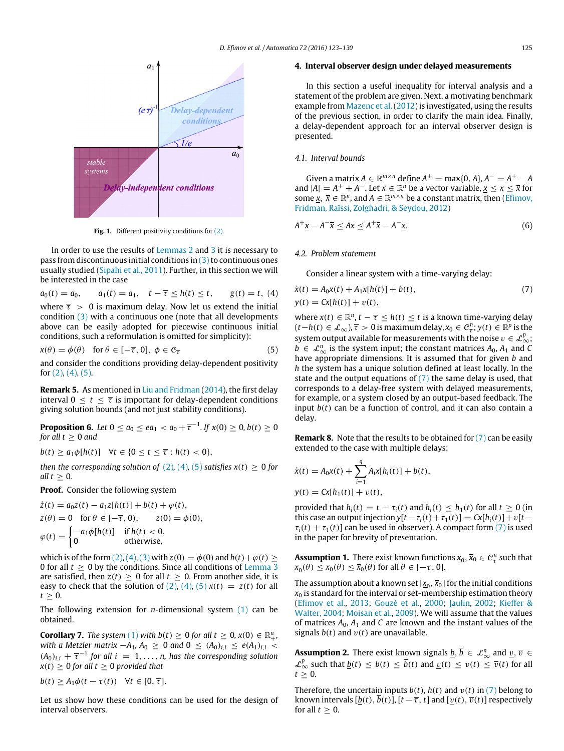<span id="page-2-2"></span>

Fig. 1. Different positivity conditions for [\(2\).](#page-1-3)

In order to use the results of [Lemmas 2](#page-1-5) and [3](#page-1-6) it is necessary to pass from discontinuous initial conditions in  $(3)$  to continuous ones usually studied [\(Sipahi](#page-7-5) [et al.,](#page-7-5) [2011\)](#page-7-5). Further, in this section we will be interested in the case

$$
a_0(t) = a_0
$$
,  $a_1(t) = a_1$ ,  $t - \overline{\tau} \leq h(t) \leq t$ ,  $g(t) = t$ , (4)  
where  $\overline{\tau} > 0$  is maximum delay. Now let us extend the initial  
condition (3) with a continuous one (note that all developments  
above can be easily adopted for piecewise continuous initial  
conditions, such a reformulation is omitted for simplicity):

$$
x(\theta) = \phi(\theta) \quad \text{for } \theta \in [-\overline{\tau}, 0], \ \phi \in \mathcal{C}_{\overline{\tau}}
$$
 (5)

and consider the conditions providing delay-dependent positivity for  $(2)$ ,  $(4)$ ,  $(5)$ .

**Remark 5.** As mentioned in [Liu](#page-7-15) [and](#page-7-15) [Fridman](#page-7-15) [\(2014\)](#page-7-15), the first delay interval  $0 \le t \le \overline{\tau}$  is important for delay-dependent conditions giving solution bounds (and not just stability conditions).

<span id="page-2-6"></span>**Proposition 6.** Let  $0 \le a_0 \le ea_1 < a_0 + \overline{\tau}^{-1}$ . If  $x(0) \ge 0$ ,  $b(t) \ge 0$ *for all*  $t \geq 0$  *and* 

*b*(*t*) ≥ *a*<sub>1</sub> $\phi$ [*h*(*t*)] ∀*t* ∈ {0 ≤ *t* ≤  $\bar{\tau}$  : *h*(*t*) < 0},

*then the corresponding solution of* [\(2\)](#page-1-3)*,* [\(4\)](#page-2-3)*,* [\(5\)](#page-2-4) *satisfies*  $x(t) \ge 0$  *for all*  $t > 0$ *.* 

**Proof.** Consider the following system

$$
\dot{z}(t) = a_0 z(t) - a_1 z[h(t)] + b(t) + \varphi(t),
$$
  
\n
$$
z(\theta) = 0 \quad \text{for } \theta \in [-\overline{\tau}, 0), \qquad z(0) = \phi(0),
$$
  
\n
$$
\varphi(t) = \begin{cases}\n-a_1 \phi[h(t)] & \text{if } h(t) < 0, \\
0 & \text{otherwise,} \n\end{cases}
$$

which is of the form  $(2)$ ,  $(4)$ ,  $(3)$  with  $z(0) = \phi(0)$  and  $b(t)+\phi(t) \ge$ 0 for all *t* ≥ 0 by the conditions. Since all conditions of [Lemma 3](#page-1-6) are satisfied, then  $z(t) \geq 0$  for all  $t \geq 0$ . From another side, it is easy to check that the solution of  $(2)$ ,  $(4)$ ,  $(5)$   $x(t) = z(t)$  for all  $t \geq 0$ .

The following extension for *n*-dimensional system [\(1\)](#page-1-2) can be obtained.

**Corollary 7.** *The system* [\(1\)](#page-1-2) *with*  $b(t) \ge 0$  *for all*  $t \ge 0$ ,  $x(0) \in \mathbb{R}^n_+$ *, with a Metzler matrix*  $-A_1$ ,  $A_0 \ge 0$  *and*  $0 \le (A_0)_{i,i} \le e(A_1)_{i,i}$  $(A_0)_{i,i}$  +  $\overline{\tau}^{-1}$  for all  $i = 1, \ldots, n$ , has the corresponding solution  $x(t) \geq 0$  for all  $t \geq 0$  provided that

 $b(t) \ge A_1 \phi(t - \tau(t))$   $\forall t \in [0, \overline{\tau}].$ 

Let us show how these conditions can be used for the design of interval observers.

# <span id="page-2-1"></span>**4. Interval observer design under delayed measurements**

In this section a useful inequality for interval analysis and a statement of the problem are given. Next, a motivating benchmark example from [Mazenc](#page-7-13) [et al.\(2012\)](#page-7-13) is investigated, using the results of the previous section, in order to clarify the main idea. Finally, a delay-dependent approach for an interval observer design is presented.

# *4.1. Interval bounds*

Given a matrix  $A \in \mathbb{R}^{m \times n}$  define  $A^+ = \max\{0, A\}$ ,  $A^- = A^+ - A$ and  $|A| = A^+ + A^-$ . Let  $x \in \mathbb{R}^n$  be a vector variable,  $x \le x \le \bar{x}$  for some  $\underline{x}$ ,  $\overline{x} \in \mathbb{R}^n$ , and  $A \in \mathbb{R}^{m \times n}$  be a constant matrix, then [\(Efimov,](#page-6-16) [Fridman,](#page-6-16) [Raïssi,](#page-6-16) [Zolghadri,](#page-6-16) [&](#page-6-16) [Seydou,](#page-6-16) [2012\)](#page-6-16)

$$
A^{+}\underline{x} - A^{-}\overline{x} \leq Ax \leq A^{+}\overline{x} - A^{-}\underline{x}.\tag{6}
$$

#### *4.2. Problem statement*

<span id="page-2-7"></span><span id="page-2-5"></span>Consider a linear system with a time-varying delay:

<span id="page-2-3"></span>
$$
\dot{x}(t) = A_0 x(t) + A_1 x[h(t)] + b(t),
$$
  
\n
$$
y(t) = Cx[h(t)] + v(t),
$$
\n(7)

<span id="page-2-4"></span>where  $x(t) \in \mathbb{R}^n$ ,  $t - \overline{\tau} \leq h(t) \leq t$  is a known time-varying delay  $(t-h(t) \in \mathcal{L}_{\infty})$ ,  $\overline{\tau} > 0$  is maximum delay,  $x_0 \in \mathcal{C}_{\overline{\tau}}^n$ ,  $y(t) \in \mathbb{R}^p$  is the system output available for measurements with the noise  $v \in \mathcal{L}_{\infty}^p$ ; *b* ∈  $\mathcal{L}_{\infty}^n$  is the system input; the constant matrices  $A_0$ ,  $A_1$  and *C* have appropriate dimensions. It is assumed that for given *b* and *h* the system has a unique solution defined at least locally. In the state and the output equations of  $(7)$  the same delay is used, that corresponds to a delay-free system with delayed measurements, for example, or a system closed by an output-based feedback. The input *b*(*t*) can be a function of control, and it can also contain a delay.

**Remark 8.** Note that the results to be obtained for [\(7\)](#page-2-5) can be easily extended to the case with multiple delays:

$$
\dot{x}(t) = A_0 x(t) + \sum_{i=1}^{q} A_i x[h_i(t)] + b(t),
$$
  
\n
$$
y(t) = Cx[h_1(t)] + v(t),
$$

provided that  $h_i(t) = t - \tau_i(t)$  and  $h_i(t) \leq h_1(t)$  for all  $t > 0$  (in this case an output injection  $y[t - \tau_i(t) + \tau_1(t)] = Cx[h_i(t)] + v[t \tau_i(t) + \tau_1(t)$  can be used in observer). A compact form [\(7\)](#page-2-5) is used in the paper for brevity of presentation.

<span id="page-2-0"></span>**Assumption 1.** There exist known functions  $\underline{x}_0$ ,  $\overline{x}_0 \in \mathcal{C}_{\overline{x}}^n$  such that  $\underline{x}_0(\theta) \leq x_0(\theta) \leq \overline{x}_0(\theta)$  for all  $\theta \in [-\overline{\tau}, 0]$ .

The assumption about a known set  $[\underline{x}_0, \overline{x}_0]$  for the initial conditions  $x<sub>0</sub>$  is standard for the interval or set-membership estimation theory [\(Efimov](#page-6-4) [et al.,](#page-6-4) [2013;](#page-6-4) [Gouzé](#page-6-3) [et al.,](#page-6-3) [2000;](#page-6-3) [Jaulin,](#page-7-8) [2002;](#page-7-8) [Kieffer](#page-7-9) [&](#page-7-9) [Walter,](#page-7-9) [2004;](#page-7-9) [Moisan](#page-7-11) [et al.,](#page-7-11) [2009\)](#page-7-11). We will assume that the values of matrices  $A_0$ ,  $A_1$  and  $C$  are known and the instant values of the signals  $b(t)$  and  $v(t)$  are unavailable.

<span id="page-2-8"></span>**Assumption 2.** There exist known signals  $\underline{b}, \overline{b} \in \mathcal{L}_{\infty}^n$  and  $\underline{v}, \overline{v} \in$  $\mathcal{L}_{\infty}^{p}$  such that  $\underline{b}(t) \leq \overline{b}(t) \leq \overline{b}(t)$  and  $\underline{v}(t) \leq v(t) \leq \overline{v}(t)$  for all  $t > 0$ .

Therefore, the uncertain inputs  $b(t)$ ,  $h(t)$  and  $v(t)$  in [\(7\)](#page-2-5) belong to known intervals  $[b(t), b(t)]$ ,  $[t - \overline{\tau}, t]$  and  $[v(t), \overline{v}(t)]$  respectively for all  $t > 0$ .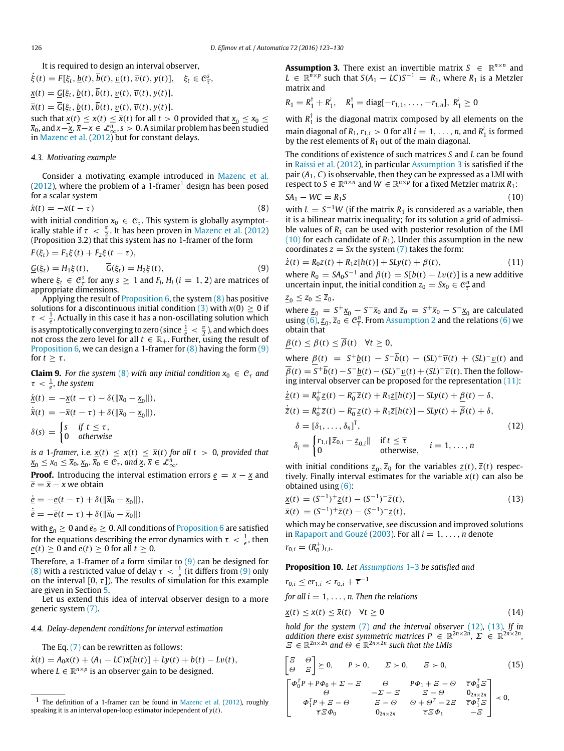It is required to design an interval observer,

$$
\dot{\xi}(t) = F[\xi_t, \underline{b}(t), \overline{b}(t), \underline{v}(t), \overline{v}(t), y(t)], \quad \xi_t \in \mathcal{C}_{\overline{\tau}}^s,
$$

 $\underline{x}(t) = \underline{G}[\xi_t, \underline{b}(t), \overline{b}(t), \underline{v}(t), \overline{v}(t), y(t)],$ 

 $\overline{x}(t) = \overline{G}[\xi_t, b(t), \overline{b}(t), v(t), \overline{v}(t), y(t)],$ 

such that  $\underline{x}(t) \leq x(t) \leq \overline{x}(t)$  for all  $t > 0$  provided that  $\underline{x}_0 \leq x_0 \leq$ *x*0, and *x*−*x*, *x*−*x* ∈ L*<sup>n</sup>* <sup>∞</sup>, *s* > 0. A similar problem has been studied in [Mazenc](#page-7-13) [et al.](#page-7-13) [\(2012\)](#page-7-13) but for constant delays.

#### *4.3. Motivating example*

Consider a motivating example introduced in [Mazenc](#page-7-13) [et al.](#page-7-13)  $(2012)$ , where the problem of a [1](#page-3-0)-framer<sup>1</sup> design has been posed for a scalar system

$$
\dot{x}(t) = -x(t - \tau) \tag{8}
$$

with initial condition  $x_0 \in \mathcal{C}_{\tau}$ . This system is globally asymptotically stable if  $\tau < \frac{\pi}{2}$ . It has been proven in [Mazenc](#page-7-13) [et al.](#page-7-13) [\(2012\)](#page-7-13) (Proposition 3.2) that this system has no 1-framer of the form

$$
F(\xi_t) = F_1 \xi(t) + F_2 \xi(t - \tau),
$$

$$
\underline{G}(\xi_t) = H_1 \xi(t), \qquad \overline{G}(\xi_t) = H_2 \xi(t), \tag{9}
$$

where  $\xi_t \in \mathcal{C}^s_{\overline{\tau}}$  for any  $s \geq 1$  and  $F_i$ ,  $H_i$  ( $i = 1, 2$ ) are matrices of appropriate dimensions.

Applying the result of [Proposition 6,](#page-2-6) the system [\(8\)](#page-3-1) has positive solutions for a discontinuous initial condition  $(3)$  with  $x(0) \ge 0$  if  $\tau < \frac{1}{e}$ . Actually in this case it has a non-oscillating solution which *e*  $\sim$   $\frac{1}{e}$ , receasily an end case it has a non-oscillating solation which does it is asymptotically converging to zero (since  $\frac{1}{e} < \frac{\pi}{2}$ ), and which does not cross the zero level for all  $t \in \mathbb{R}_+$ . Furth [Proposition 6,](#page-2-6) we can design a 1-framer for  $(8)$  having the form  $(9)$ for  $t > \tau$ .

<span id="page-3-11"></span>**Claim 9.** For the system [\(8\)](#page-3-1) with any initial condition  $x_0 \in C_\tau$  and  $\tau \, < \, \frac{1}{e}$ , the system

$$
\begin{aligned}\n\dot{\underline{x}}(t) &= -\underline{x}(t-\tau) - \delta(\|\overline{x}_0 - \underline{x}_0\|), \\
\dot{\overline{x}}(t) &= -\overline{x}(t-\tau) + \delta(\|\overline{x}_0 - \underline{x}_0\|), \\
\delta(s) &= \begin{cases}\ns & \text{if } t \leq \tau, \\
0 & \text{otherwise}\n\end{cases}\n\end{aligned}
$$

*is a* 1*-framer,* i.e.  $x(t) \leq x(t) \leq \overline{x}(t)$  *for all t* > 0*, provided that*  $x_0 \le x_0 \le \bar{x}_0, x_0, \bar{x}_0 \in \mathcal{C}_{\tau}$ , and  $\underline{x}, \bar{x} \in \mathcal{L}_{\infty}^n$ .

**Proof.** Introducing the interval estimation errors  $e = x - x$  and  $\overline{e} = \overline{x} - x$  we obtain

$$
\begin{aligned} \n\dot{\underline{e}} &= -\underline{e}(t-\tau) + \delta(\|\overline{x}_0 - \underline{x}_0\|), \\ \n\dot{\overline{e}} &= -\overline{e}(t-\tau) + \delta(\|\overline{x}_0 - \overline{x}_0\|) \n\end{aligned}
$$

with  $\underline{e}_0 \geq 0$  and  $\overline{e}_0 \geq 0$ . All conditions of [Proposition 6](#page-2-6) are satisfied for the equations describing the error dynamics with  $\tau < \frac{1}{e}$ , then *e*(*t*) ≥ 0 and  $\overline{e}(t)$  ≥ 0 for all *t* ≥ 0.

Therefore, a 1-framer of a form similar to [\(9\)](#page-3-2) can be designed for [\(8\)](#page-3-1) with a restricted value of delay  $\tau < \frac{1}{e}$  (it differs from [\(9\)](#page-3-2) only on the interval [0,  $\tau$ ]). The results of simulation for this example are given in Section [5.](#page-5-1)

Let us extend this idea of interval observer design to a more generic system [\(7\).](#page-2-5)

# *4.4. Delay-dependent conditions for interval estimation*

The Eq. [\(7\)](#page-2-5) can be rewritten as follows:

 $\dot{x}(t) = A_0 x(t) + (A_1 - LC)x[h(t)] + Ly(t) + b(t) - Lv(t),$ where  $L \in \mathbb{R}^{n \times p}$  is an observer gain to be designed.

<span id="page-3-3"></span>**Assumption 3.** There exist an invertible matrix  $S \in \mathbb{R}^{n \times n}$  and  $L \in \mathbb{R}^{\tilde{n} \times p}$  such that  $S(A_1 - LC)S^{-1} = R_1$ , where  $R_1$  is a Metzler matrix and

$$
R_1 = R_1^{\dagger} + R_1^{\dagger}, \quad R_1^{\dagger} = \text{diag}[-r_{1,1}, \ldots, -r_{1,n}], R_1^{\dagger} \ge 0
$$

with  $R_1^{\dagger}$  $v_1^\prime$  is the diagonal matrix composed by all elements on the main diagonal of  $R_1$ ,  $r_{1,i} > 0$  for all  $i = 1, ..., n$ , and  $R_1^{\lambda}$  is formed by the rest elements of  $R_1$  out of the main diagonal.

The conditions of existence of such matrices *S* and *L* can be found in [Raïssi](#page-7-12) [et al.](#page-7-12) [\(2012\)](#page-7-12), in particular [Assumption 3](#page-3-3) is satisfied if the pair  $(A_1, C)$  is observable, then they can be expressed as a LMI with respect to  $S \in \mathbb{R}^{n \times n}$  and  $W \in \mathbb{R}^{n \times p}$  for a fixed Metzler matrix  $R_1$ :

<span id="page-3-4"></span>
$$
SA_1 - WC = R_1S \tag{10}
$$

<span id="page-3-1"></span>with  $L = S^{-1}W$  (if the matrix  $R_1$  is considered as a variable, then it is a bilinear matrix inequality; for its solution a grid of admissible values of  $R_1$  can be used with posterior resolution of the LMI  $(10)$  for each candidate of  $R_1$ ). Under this assumption in the new coordinates  $z = Sx$  the system  $(7)$  takes the form:

<span id="page-3-5"></span><span id="page-3-2"></span>
$$
\dot{z}(t) = R_0 z(t) + R_1 z[h(t)] + S Ly(t) + \beta(t),
$$
\n(11)

where  $R_0 = S A_0 S^{-1}$  and  $\beta(t) = S[b(t) - Lv(t)]$  is a new additive uncertain input, the initial condition  $z_0 = S x_0 \in \mathcal{C}^n_{\overline{\tau}}$  and

$$
\underline{z}_0\leq z_0\leq \overline{z}_0,
$$

where  $z_0 = S^+ \underline{x}_0 - S^- \overline{x}_0$  and  $\overline{z}_0 = S^+ \overline{x}_0 - S^- \underline{x}_0$  are calculated using [\(6\),](#page-2-7)  $\underline{z}_0$ ,  $\overline{z}_0 \in \mathcal{C}_{\overline{\tau}}^n$ . From [Assumption 2](#page-2-8) and the relations [\(6\)](#page-2-7) we obtain that

$$
\beta(t) \leq \beta(t) \leq \overline{\beta}(t) \quad \forall t \geq 0,
$$

where *β*(*t*) =  $S^+$ <u>*b*</u>(*t*) −  $S^-$ *b*(*t*) − (*SL*)<sup>+</sup>*v*<sub>*v*</sub>(*t*) + (*SL*)<sup>−</sup>*<u>v</u></u>(<i>t*) and  $\overline{\beta}(t) = S^+ \overline{b}(t) - S^- \underline{b}(t) - (SL)^+ \underline{v}(t) + (SL)^- \overline{v}(t)$ . Then the following interval observer can be proposed for the representation  $(11)$ :

<span id="page-3-6"></span>
$$
\underline{\dot{z}}(t) = R_0^+ \underline{z}(t) - R_0^- \overline{z}(t) + R_1 \underline{z}[h(t)] + SLy(t) + \underline{\beta}(t) - \delta,
$$
\n
$$
\dot{\overline{z}}(t) = R_0^+ \overline{z}(t) - R_0^- \underline{z}(t) + R_1 \overline{z}[h(t)] + SLy(t) + \overline{\beta}(t) + \delta,
$$
\n
$$
\delta = [\delta_1, \dots, \delta_n]^T,
$$
\n
$$
\delta_i = \begin{cases} r_{1,i} || \overline{z}_{0,i} - \underline{z}_{0,i} || & \text{if } t \le \overline{\tau} \\ 0 & \text{otherwise,} \end{cases} \quad i = 1, \dots, n
$$
\n
$$
(12)
$$

with initial conditions  $\underline{z}_0$ ,  $\overline{z}_0$  for the variables  $\underline{z}(t)$ ,  $\overline{z}(t)$  respectively. Finally interval estimates for the variable *x*(*t*) can also be obtained using [\(6\):](#page-2-7)

<span id="page-3-7"></span>
$$
\underline{x}(t) = (S^{-1})^+ \underline{z}(t) - (S^{-1})^- \overline{z}(t), \n\overline{x}(t) = (S^{-1})^+ \overline{z}(t) - (S^{-1})^- \underline{z}(t),
$$
\n(13)

which may be conservative, see discussion and improved solutions in [Rapaport](#page-7-16) [and](#page-7-16) [Gouzé](#page-7-16) [\(2003\)](#page-7-16). For all  $i = 1, \ldots, n$  denote  $r_{0,i} = (R_0^+)_{i,i}.$ 

#### <span id="page-3-10"></span>**Proposition 10.** *Let [Assumptions](#page-2-0)* 1–3 *be satisfied and*

$$
r_{0,i} \leq er_{1,i} < r_{0,i} + \overline{\tau}^{-1}
$$
  
for all  $i = 1, \ldots, n$ . Then the relations

$$
\underline{x}(t) \le x(t) \le \overline{x}(t) \quad \forall t \ge 0 \tag{14}
$$

<span id="page-3-8"></span>*hold for the system* [\(7\)](#page-2-5) and the interval observer [\(12\)](#page-3-6), [\(13\)](#page-3-7). If in addition there exist symmetric matrices  $P \in \mathbb{R}^{2n \times 2n}$ ,  $\Sigma \in \mathbb{R}^{2n \times 2n}$ ,  $\mathcal{Z} \in \mathbb{R}^{2n \times 2n}$  and  $\Theta \in \mathbb{R}^{2n \times 2n}$  such that the LMIs

<span id="page-3-9"></span>
$$
\begin{bmatrix}\n\Xi & \Theta \\
\Theta & \Xi\n\end{bmatrix} \succeq 0, \quad P \succ 0, \quad \Sigma \succ 0, \quad \Xi \succ 0, \quad (15)
$$
\n
$$
\begin{bmatrix}\n\Phi_0^T P + P\Phi_0 + \Sigma - \Xi & \Theta & P\Phi_1 + \Xi - \Theta & \overline{\tau}\Phi_0^T \Xi \\
\Theta & -\Sigma - \Xi & \Xi - \Theta & 0_{2n \times 2n} \\
\Phi_1^T P + \Xi - \Theta & \Xi - \Theta & \Theta + \Theta^T - 2\Xi & \overline{\tau}\Phi_1^T \Xi \\
\overline{\tau}\Xi\Phi_0 & 0_{2n \times 2n} & \overline{\tau}\Xi\Phi_1 & -\Xi\n\end{bmatrix} \prec 0,
$$

<span id="page-3-0"></span><sup>1</sup> The definition of a 1-framer can be found in [Mazenc](#page-7-13) [et al.](#page-7-13) [\(2012\)](#page-7-13), roughly speaking it is an interval open-loop estimator independent of *y*(*t*).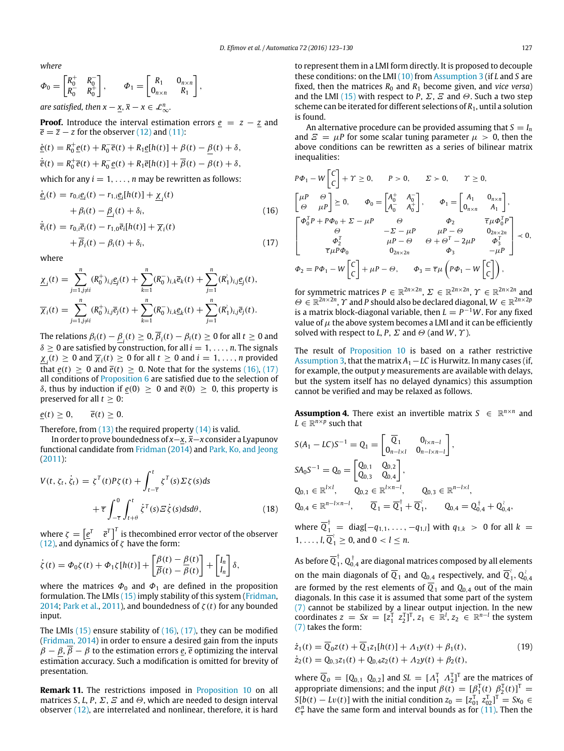*where*

$$
\Phi_0 = \begin{bmatrix} R_0^+ & R_0^- \\ R_0^- & R_0^+ \end{bmatrix}, \qquad \Phi_1 = \begin{bmatrix} R_1 & 0_{n \times n} \\ 0_{n \times n} & R_1 \end{bmatrix},
$$
\nare satisfied, then  $x - \underline{x}, \overline{x} - x \in \mathcal{L}_{\infty}^n$ .

**Proof.** Introduce the interval estimation errors  $e = z - z$  and  $\overline{e} = \overline{z} - z$  for the observer [\(12\)](#page-3-6) and [\(11\):](#page-3-5)

$$
\underline{\dot{e}}(t) = R_0^+ \underline{e}(t) + R_0^- \overline{e}(t) + R_1 \underline{e}[h(t)] + \beta(t) - \underline{\beta}(t) + \delta,
$$
  
\n
$$
\dot{\overline{e}}(t) = R_0^+ \overline{e}(t) + R_0^- \underline{e}(t) + R_1 \overline{e}[h(t)] + \overline{\beta}(t) - \beta(t) + \delta,
$$

which for any  $i = 1, \ldots, n$  may be rewritten as follows:

$$
\dot{\mathbf{e}}_{i}(t) = r_{0,i}\mathbf{e}_{i}(t) - r_{1,i}\mathbf{e}_{i}[h(t)] + \underline{\chi}_{i}(t) + \beta_{i}(t) - \underline{\beta}_{i}(t) + \delta_{i},
$$
\n(16)

$$
\dot{\overline{e}}_i(t) = r_{0,i}\overline{e}_i(t) - r_{1,0}\overline{e}_i[h(t)] + \overline{\chi}_i(t) \n+ \overline{\beta}_i(t) - \beta_i(t) + \delta_i,
$$
\n(17)

where

$$
\underline{\chi}_i(t) = \sum_{j=1, j \neq i}^n (R_0^+)_{i,j} \underline{e}_j(t) + \sum_{k=1}^n (R_0^-)_{i,k} \overline{e}_k(t) + \sum_{j=1}^n (R_1^+)_{i,j} \underline{e}_j(t),
$$
  

$$
\overline{\chi}_i(t) = \sum_{j=1, j \neq i}^n (R_0^+)_{i,j} \overline{e}_j(t) + \sum_{k=1}^n (R_0^-)_{i,k} \underline{e}_k(t) + \sum_{j=1}^n (R_1^+)_{i,j} \overline{e}_j(t).
$$

The relations  $\beta_i(t) - \underline{\beta}_i(t) \geq 0, \overline{\beta}_i(t) - \beta_i(t) \geq 0$  for all  $t \geq 0$  and  $\delta \geq 0$  are satisfied by construction, for all  $i = 1, \ldots, n$ . The signals  $\underline{\chi}_i(t) \geq 0$  and  $\overline{\chi}_i(t) \geq 0$  for all  $t \geq 0$  and  $i = 1, \ldots, n$  provided that  $e(t) \ge 0$  and  $\overline{e}(t) \ge 0$ . Note that for the systems [\(16\),](#page-4-0) [\(17\)](#page-4-1) all conditions of [Proposition 6](#page-2-6) are satisfied due to the selection of δ, thus by induction if  $e(0) ≥ 0$  and  $\overline{e}(0) ≥ 0$ , this property is preserved for all  $t \geq 0$ :

 $e(t) \geq 0$ ,  $\overline{e}(t) \geq 0$ .

Therefore, from  $(13)$  the required property  $(14)$  is valid.

In order to prove boundedness of *x*−*x*, *x*−*x* consider a Lyapunov functional candidate from [Fridman](#page-6-17) [\(2014\)](#page-6-17) and [Park,](#page-7-17) [Ko,](#page-7-17) [and](#page-7-17) [Jeong](#page-7-17) [\(2011\)](#page-7-17):

$$
V(t, \zeta_t, \dot{\zeta}_t) = \zeta^T(t) P \zeta(t) + \int_{t-\overline{\tau}}^t \zeta^T(s) \Sigma \zeta(s) ds
$$
  
+  $\overline{\tau} \int_{-\overline{\tau}}^0 \int_{t+\theta}^t \dot{\zeta}^T(s) \Xi \dot{\zeta}(s) ds d\theta,$  (18)

where  $\zeta = \begin{bmatrix} e^T & \bar{e}^T \end{bmatrix}^T$  is thecombined error vector of the observer [\(12\),](#page-3-6) and dynamics of  $\zeta$  have the form:

$$
\dot{\zeta}(t) = \Phi_0 \zeta(t) + \Phi_1 \zeta[h(t)] + \left[\frac{\beta(t) - \beta(t)}{\beta(t) - \beta(t)}\right] + \left[\frac{I_n}{I_n}\right] \delta,
$$

where the matrices  $\Phi_0$  and  $\Phi_1$  are defined in the proposition formulation. The LMIs [\(15\)](#page-3-9) imply stability of this system [\(Fridman,](#page-6-17) [2014;](#page-6-17) [Park](#page-7-17) [et al.,](#page-7-17) [2011\)](#page-7-17), and boundedness of  $\zeta(t)$  for any bounded input.

The LMIs [\(15\)](#page-3-9) ensure stability of [\(16\),](#page-4-0) [\(17\),](#page-4-1) they can be modified [\(Fridman,](#page-6-17) [2014\)](#page-6-17) in order to ensure a desired gain from the inputs  $\beta - \beta$ ,  $\overline{\beta} - \beta$  to the estimation errors *e*,  $\overline{e}$  optimizing the interval estimation accuracy. Such a modification is omitted for brevity of presentation.

**Remark 11.** The restrictions imposed in [Proposition 10](#page-3-10) on all matrices *S*, *L*, *P*,  $\Sigma$ ,  $\Xi$  and  $\Theta$ , which are needed to design interval observer [\(12\),](#page-3-6) are interrelated and nonlinear, therefore, it is hard to represent them in a LMI form directly. It is proposed to decouple these conditions: on the LMI [\(10\)](#page-3-4) from [Assumption 3](#page-3-3) (if *L* and *S* are fixed, then the matrices  $R_0$  and  $R_1$  become given, and *vice versa*) and the LMI [\(15\)](#page-3-9) with respect to *P*,  $\Sigma$ ,  $\Xi$  and  $\Theta$ . Such a two step scheme can be iterated for different selections of *R*1, until a solution is found.

An alternative procedure can be provided assuming that  $S = I_n$ and  $E = \mu P$  for some scalar tuning parameter  $\mu > 0$ , then the above conditions can be rewritten as a series of bilinear matrix inequalities:

<span id="page-4-0"></span>
$$
P\Phi_1 - W \begin{bmatrix} C \\ C \end{bmatrix} + \Upsilon \ge 0, \qquad P > 0, \qquad \Sigma > 0, \qquad \Upsilon \ge 0,
$$
  

$$
\begin{bmatrix} \mu P & \Theta \\ \Theta & \mu P \end{bmatrix} \ge 0, \qquad \Phi_0 = \begin{bmatrix} A_0^+ & A_0^- \\ A_0^- & A_0^+ \end{bmatrix}, \qquad \Phi_1 = \begin{bmatrix} A_1 & 0_{n \times n} \\ 0_{n \times n} & A_1 \end{bmatrix},
$$
  

$$
\begin{bmatrix} \Phi_0^T P + P\Phi_0 + \Sigma - \mu P & \Theta & \Phi_2 & \overline{\tau} \mu \Phi_0^T P \\ \Theta & -\Sigma - \mu P & \mu P - \Theta & 0_{2n \times 2n} \\ \Phi_2^T & \mu P - \Theta & \Theta + \Theta^T - 2\mu P & \Phi_3^T \\ \overline{\tau} \mu P \Phi_0 & 0_{2n \times 2n} & \Phi_3 & -\mu P \end{bmatrix} \prec 0,
$$
  

$$
\Phi_2 = P\Phi_1 - W \begin{bmatrix} C \\ C \end{bmatrix} + \mu P - \Theta, \qquad \Phi_3 = \overline{\tau} \mu \begin{bmatrix} P\Phi_1 - W \begin{bmatrix} C \\ C \end{bmatrix} \end{bmatrix},
$$

<span id="page-4-1"></span>for symmetric matrices  $P \in \mathbb{R}^{2n \times 2n}$ ,  $\Sigma \in \mathbb{R}^{2n \times 2n}$ ,  $\Upsilon \in \mathbb{R}^{2n \times 2n}$  and  $\Theta \in \mathbb{R}^{2n \times 2n}$ ,  $\Upsilon$  and *P* should also be declared diagonal,  $W \in \mathbb{R}^{2n \times 2p}$ is a matrix block-diagonal variable, then  $L = P^{-1}W$ . For any fixed value of  $\mu$  the above system becomes a LMI and it can be efficiently solved with respect to *L*, *P*,  $\Sigma$  and  $\Theta$  (and *W*,  $\Upsilon$ ).

The result of [Proposition 10](#page-3-10) is based on a rather restrictive [Assumption 3,](#page-3-3) that the matrix *A*1−*LC* is Hurwitz. In many cases (if, for example, the output *y* measurements are available with delays, but the system itself has no delayed dynamics) this assumption cannot be verified and may be relaxed as follows.

<span id="page-4-3"></span>**Assumption 4.** There exist an invertible matrix  $S \in \mathbb{R}^{n \times n}$  and  $L \in \mathbb{R}^{n \times p}$  such that

$$
S(A_1 - LC)S^{-1} = Q_1 = \begin{bmatrix} \overline{Q}_1 & 0_{l \times n-l} \\ 0_{n-l \times l} & 0_{n-l \times n-l} \end{bmatrix},
$$
  
\n
$$
S A_0 S^{-1} = Q_0 = \begin{bmatrix} Q_{0,1} & Q_{0,2} \\ Q_{0,3} & Q_{0,4} \end{bmatrix},
$$
  
\n
$$
Q_{0,1} \in \mathbb{R}^{l \times l}, \qquad Q_{0,2} \in \mathbb{R}^{l \times n-l}, \qquad Q_{0,3} \in \mathbb{R}^{n-l \times l},
$$
  
\n
$$
Q_{0,4} \in \mathbb{R}^{n-l \times n-l}, \qquad \overline{Q}_1 = \overline{Q}_1^{\dagger} + \overline{Q}_1^{\dagger}, \qquad Q_{0,4} = Q_{0,4}^{\dagger} + Q_{0,4}^{\dagger},
$$

<span id="page-4-4"></span>where  $\overline{Q}_1^{\dagger}$  = diag[ $-q_{1,1}, \ldots, -q_{1,l}$ ] with  $q_{1,k} > 0$  for all  $k =$ 1, ..., *l*,  $\overline{Q}_1^2 \ge 0$ , and  $0 < l \le n$ .

As before  $\overline{Q}_1^{\dagger}$  $_{1}^{\dagger},$   $\mathrm{Q}_{0,4}^{\dagger}$  are diagonal matrices composed by all elements on the main diagonals of  $\overline{Q}_1$  and  $Q_{0,4}$  respectively, and  $\overline{Q}^{\dagger}$ 1 , *Q* ≀  $0,4$ are formed by the rest elements of  $\overline{Q}_1$  and  $Q_{0,4}$  out of the main diagonals. In this case it is assumed that some part of the system [\(7\)](#page-2-5) cannot be stabilized by a linear output injection. In the new coordinates  $z = Sx = [z_1^T \ z_2^T]^T$ ,  $z_1 \in \mathbb{R}^l$ ,  $z_2 \in \mathbb{R}^{n-l}$  the system [\(7\)](#page-2-5) takes the form:

<span id="page-4-2"></span>
$$
\dot{z}_1(t) = \overline{Q}_0 z(t) + \overline{Q}_1 z_1[h(t)] + A_1 y(t) + \beta_1(t),
$$
  
\n
$$
\dot{z}_2(t) = Q_{0,3} z_1(t) + Q_{0,4} z_2(t) + A_2 y(t) + \beta_2(t),
$$
\n(19)

where  $\overline{Q}_0 = [Q_{0,1} \ Q_{0,2}]$  and  $SL = [A_1^T \ A_2^T]^T$  are the matrices of appropriate dimensions; and the input  $\beta(t) = [\beta_1^T(t) \ \beta_2^T(t)]^T =$ *S*[*b*(*t*) − *Lv*(*t*)] with the initial condition  $z_0 = [z_{01}^T \ z_{02}^T]^T = Sx_0 \in$  $C^{\frac{n}{\tau}}$  have the same form and interval bounds as for [\(11\).](#page-3-5) Then the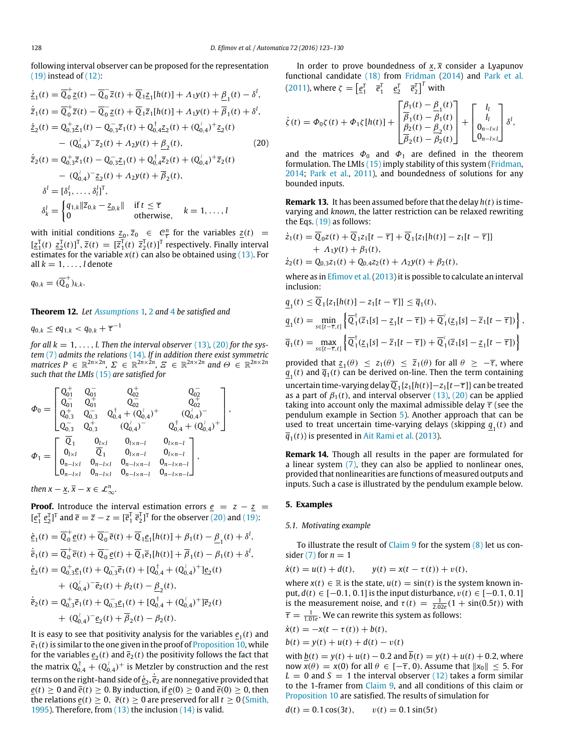following interval observer can be proposed for the representation  $(19)$  instead of  $(12)$ :

<span id="page-5-2"></span>
$$
\begin{split}\n\dot{\mathcal{Z}}_1(t) &= \overline{Q}_0^+ \mathcal{Z}(t) - \overline{Q}_0^- \overline{z}(t) + \overline{Q}_1 \mathcal{Z}_1[h(t)] + \Lambda_1 y(t) + \underline{\beta}_1(t) - \delta^l, \\
\dot{\overline{z}}_1(t) &= \overline{Q}_0^+ \overline{z}(t) - \overline{Q}_0^- \mathcal{Z}(t) + \overline{Q}_1 \overline{z}_1[h(t)] + \Lambda_1 y(t) + \overline{\beta}_1(t) + \delta^l, \\
\dot{\mathcal{Z}}_2(t) &= Q_{0,3}^+ \mathcal{Z}_1(t) - Q_{0,3}^- \overline{z}_1(t) + Q_{0,4}^+ \mathcal{Z}_2(t) + (Q_{0,4}^{\lambda})^+ \mathcal{Z}_2(t) \\
&\quad - (Q_{0,4}^{\lambda})^- \overline{z}_2(t) + \Lambda_2 y(t) + \underline{\beta}_2(t), \\
\dot{\overline{z}}_2(t) &= Q_{0,3}^+ \overline{z}_1(t) - Q_{0,3}^- \mathcal{Z}_1(t) + Q_{0,4}^+ \overline{z}_2(t) + (Q_{0,4}^{\lambda})^+ \overline{z}_2(t) \\
&\quad - (Q_{0,4}^{\lambda})^- \mathcal{Z}_2(t) + \Lambda_2 y(t) + \overline{\beta}_2(t), \\
\delta^l &= [\delta_1^l, \ldots, \delta_l^l]^T,\n\end{split}
$$
\n(20)

$$
\delta_k^l = \begin{cases} q_{1,k} \|\overline{z}_{0,k} - \underline{z}_{0,k}\| & \text{if } t \leq \overline{\tau} \\ 0 & \text{otherwise,} \end{cases} \quad k = 1, \ldots, l
$$

with initial conditions  $\underline{z}_0, \overline{z}_0 \in \mathcal{C}_{\overline{\tau}}^n$  for the variables  $\underline{z}(t) =$  $[\underline{z}_1^{\mathrm{T}}(t) \ \underline{z}_2^{\mathrm{T}}(t)]^{\mathrm{T}}$ ,  $\overline{z}(t) = [\overline{z}_1^{\mathrm{T}}(t) \ \overline{z}_2^{\mathrm{T}}(t)]^{\mathrm{T}}$  respectively. Finally interval estimates for the variable  $x(t)$  can also be obtained using  $(13)$ . For all  $k = 1, \ldots, l$  denote

$$
q_{0,k}=(\overline{\mathbb{Q}}^+_0)_{k,k}.
$$

<span id="page-5-0"></span>**Theorem 12.** *Let [Assumptions](#page-2-0)* 1, [2](#page-2-8) and [4](#page-4-3) *be satisfied and*

 $q_{0,k} \le eq_{1,k} < q_{0,k} + \overline{\tau}^{-1}$ 

*for all*  $k = 1, \ldots, l$ . Then the interval observer [\(13\)](#page-3-7), [\(20\)](#page-5-2) for the sys*tem* [\(7\)](#page-2-5) *admits the relations* [\(14\)](#page-3-8)*. If in addition there exist symmetric matrices*  $P \in \mathbb{R}^{2n \times 2n}$ ,  $\Sigma \in \mathbb{R}^{2n \times 2n}$ ,  $\Sigma \in \mathbb{R}^{2n \times 2n}$  and  $\Theta \in \mathbb{R}^{2n \times 2n}$ *such that the LMIs* [\(15\)](#page-3-9) *are satisfied for*

$$
\Phi_0=\begin{bmatrix}Q_{01}^+&Q_{01}^-&Q_{02}^+&Q_{02}^-\\Q_{01}^-&Q_{01}^+&Q_{02}^-&Q_{02}^+\\Q_{0,3}^+&Q_{0,3}^-&Q_{0,4}^++(Q_{0,4}^+)^+&(Q_{0,4}^+)^-\\Q_{0,3}^-&Q_{0,3}^+&(Q_{0,4}^+)^-&Q_{0,4}^++(Q_{0,4}^+)^+\\Q_{1}=\begin{bmatrix}Q_1&0_{l\times l}&0_{l\times n-l}&0_{l\times n-l}\\0_{l\times l}&Q_1&0_{l\times n-l}&0_{l\times n-l}\\0_{n-l\times l}&0_{n-l\times l}&0_{n-l\times n-l}&0_{n-l\times n-l}\\0_{n-l\times l}&0_{n-l\times l}&0_{n-l\times n-l}&0_{n-l\times n-l}\end{bmatrix},
$$

*then*  $x - \underline{x}, \overline{x} - x \in \mathcal{L}_{\infty}^n$ .

**Proof.** Introduce the interval estimation errors  $e = z - \overline{z} =$  $[e_1^T \, e_2^T]^T$  and  $\bar{e} = \bar{z} - z = [\bar{e}_1^T \, \bar{e}_2^T]^T$  for the observer [\(20\)](#page-5-2) and [\(19\):](#page-4-2)

$$
\begin{split}\n\dot{\underline{e}}_1(t) &= \overline{Q}_0^+ \underline{e}(t) + \overline{Q}_0^- \overline{e}(t) + \overline{Q}_1 \underline{e}_1[h(t)] + \beta_1(t) - \underline{\beta}_1(t) + \delta^l, \\
\dot{\overline{e}}_1(t) &= \overline{Q}_0^+ \overline{e}(t) + \overline{Q}_0^- \underline{e}(t) + \overline{Q}_1 \overline{e}_1[h(t)] + \overline{\beta}_1(t) - \beta_1(t) + \delta^l, \\
\dot{\underline{e}}_2(t) &= Q_{0,3}^+ \underline{e}_1(t) + Q_{0,3}^- \overline{e}_1(t) + [Q_{0,4}^+ + (Q_{0,4}^+)^+] \underline{e}_2(t) \\
&\quad + (Q_{0,4}^+)^-\overline{e}_2(t) + \beta_2(t) - \underline{\beta}_2(t), \\
\dot{\overline{e}}_2(t) &= Q_{0,3}^+ \overline{e}_1(t) + Q_{0,3}^- \underline{e}_1(t) + [Q_{0,4}^+ + (Q_{0,4}^+)^+] \overline{e}_2(t) \\
&\quad + (Q_{0,4}^+)^-\underline{e}_2(t) + \overline{\beta}_2(t) - \beta_2(t).\n\end{split}
$$

It is easy to see that positivity analysis for the variables  $\underline{e}_{1}(t)$  and  $\overline{e}_1(t)$  is similar to the one given in the proof of [Proposition 10,](#page-3-10) while for the variables  $\underline{e}_{2}(t)$  and  $\overline{e}_{2}(t)$  the positivity follows the fact that the matrix  $Q_{0,4}^{\dagger} + Q_0^{\dagger}$  $\hat{C}_{0,4}$ )<sup>+</sup> is Metzler by construction and the rest terms on the right-hand side of  $\dot{\underline{e}}_2$ ,  $\dot{\overline{e}}_2$  are nonnegative provided that *e*(*t*) ≥ 0 and  $\bar{e}(t)$  ≥ 0. By induction, if  $\frac{e(0)}{2}$  0 and  $\bar{e}(0)$  ≥ 0, then the relations  $\frac{e(t)}{2} \geq 0$ ,  $\frac{e(t)}{2} \geq 0$  are preserved for all  $t \geq 0$  [\(Smith,](#page-7-18) [1995\)](#page-7-18). Therefore, from [\(13\)](#page-3-7) the inclusion [\(14\)](#page-3-8) is valid.

In order to prove boundedness of  $x, \bar{x}$  consider a Lyapunov functional candidate [\(18\)](#page-4-4) from [Fridman](#page-6-17) [\(2014\)](#page-6-17) and [Park](#page-7-17) [et al.](#page-7-17) [\(2011\)](#page-7-17), where  $\zeta = \begin{bmatrix} e_1^T & \overline{e}_1^T & \underline{e}_2^T & \overline{e}_2^T \end{bmatrix}^T$  with

$$
\dot{\zeta}(t) = \Phi_0 \zeta(t) + \Phi_1 \zeta[h(t)] + \begin{bmatrix} \frac{\beta_1(t) - \underline{\beta}_1(t)}{\overline{\beta}_1(t) - \beta_1(t)} \\ \frac{\beta_2(t) - \underline{\beta}_2(t)}{\overline{\beta}_2(t) - \overline{\beta}_2(t)} \end{bmatrix} + \begin{bmatrix} I_l \\ I_l \\ 0_{n-l \times l} \\ 0_{n-l \times l} \end{bmatrix} \delta^l,
$$

and the matrices  $\Phi_0$  and  $\Phi_1$  are defined in the theorem formulation. The LMIs [\(15\)](#page-3-9) imply stability of this system [\(Fridman,](#page-6-17) [2014;](#page-6-17) [Park](#page-7-17) [et al.,](#page-7-17) [2011\)](#page-7-17), and boundedness of solutions for any bounded inputs.

**Remark 13.** It has been assumed before that the delay  $h(t)$  is timevarying and *known*, the latter restriction can be relaxed rewriting the Eqs. [\(19\)](#page-4-2) as follows:

$$
\dot{z}_1(t) = \overline{Q}_0 z(t) + \overline{Q}_1 z_1[t - \overline{\tau}] + \overline{Q}_1 \{z_1[h(t)] - z_1[t - \overline{\tau}]\} \n+ A_1 y(t) + \beta_1(t), \n\dot{z}_2(t) = Q_{0,3} z_1(t) + Q_{0,4} z_2(t) + A_2 y(t) + \beta_2(t),
$$

where as in [Efimov](#page-6-4) et al. (2013) it is possible to calculate an interval inclusion:

$$
\begin{aligned}\n\underline{q}_1(t) &\leq \overline{Q}_1\{z_1[h(t)] - z_1[t-\overline{\tau}]\} \leq \overline{q}_1(t), \\
\underline{q}_1(t) &= \min_{s \in [t-\overline{\tau},t]} \left\{ \overline{Q}_1^{\dagger}(\overline{z}_1[s] - \underline{z}_1[t-\overline{\tau}]) + \overline{Q}_1^{\dagger}(\underline{z}_1[s] - \overline{z}_1[t-\overline{\tau}]) \right\}, \\
\overline{q}_1(t) &= \max_{s \in [t-\overline{\tau},t]} \left\{ \overline{Q}_1^{\dagger}(\underline{z}_1[s] - \overline{z}_1[t-\overline{\tau}]) + \overline{Q}_1^{\dagger}(\overline{z}_1[s] - \underline{z}_1[t-\overline{\tau}]) \right\}\n\end{aligned}
$$

provided that  $z_1(\theta) \le z_1(\theta) \le \overline{z}_1(\theta)$  for all  $\theta \ge -\overline{\tau}$ , where  $q_{1}(t)$  and  $\bar{q}_{1}(t)$  can be derived on-line. Then the term containing uncertain time-varying delay  $\overline{Q}_1\{z_1[h(t)]-z_1[t-\overline{\tau}]\}$  can be treated as a part of  $\beta_1(t)$ , and interval observer [\(13\),](#page-3-7) [\(20\)](#page-5-2) can be applied taking into account only the maximal admissible delay  $\bar{\tau}$  (see the pendulum example in Section [5\)](#page-5-1). Another approach that can be used to treat uncertain time-varying delays (skipping  $q_1(t)$  and  $\overline{q}_1(t)$ ) is presented in [Ait](#page-6-8) [Rami](#page-6-8) [et al.](#page-6-8) [\(2013\)](#page-6-8).

**Remark 14.** Though all results in the paper are formulated for a linear system [\(7\),](#page-2-5) they can also be applied to nonlinear ones, provided that nonlinearities are functions of measured outputs and inputs. Such a case is illustrated by the pendulum example below.

#### <span id="page-5-1"></span>**5. Examples**

# *5.1. Motivating example*

To illustrate the result of [Claim 9](#page-3-11) for the system  $(8)$  let us consider  $(7)$  for  $n = 1$ 

$$
\dot{x}(t) = u(t) + d(t),
$$
  $y(t) = x(t - \tau(t)) + v(t),$ 

where  $x(t) \in \mathbb{R}$  is the state,  $u(t) = \sin(t)$  is the system known input, *d*(*t*) ∈ [−0.1, 0.1] is the input disturbance, v(*t*) ∈ [−0.1, 0.1] is the measurement noise, and  $\tau(t) = \frac{1}{2.02e}(1 + \sin(0.5t))$  with  $\overline{\tau} = \frac{1}{1.01e}$ . We can rewrite this system as follows:

$$
\dot{x}(t) = -x(t - \tau(t)) + b(t), \n b(t) = y(t) + u(t) + d(t) - v(t)
$$

with  $b(t) = y(t) + u(t) - 0.2$  and  $\overline{b}(t) = y(t) + u(t) + 0.2$ , where now  $x(\theta) = x(0)$  for all  $\theta \in [-\overline{\tau}, 0)$ . Assume that  $||x_0|| \leq 5$ . For  $L = 0$  and  $S = 1$  the interval observer [\(12\)](#page-3-6) takes a form similar to the 1-framer from [Claim 9,](#page-3-11) and all conditions of this claim or [Proposition 10](#page-3-10) are satisfied. The results of simulation for

$$
d(t) = 0.1 \cos(3t), \qquad v(t) = 0.1 \sin(5t)
$$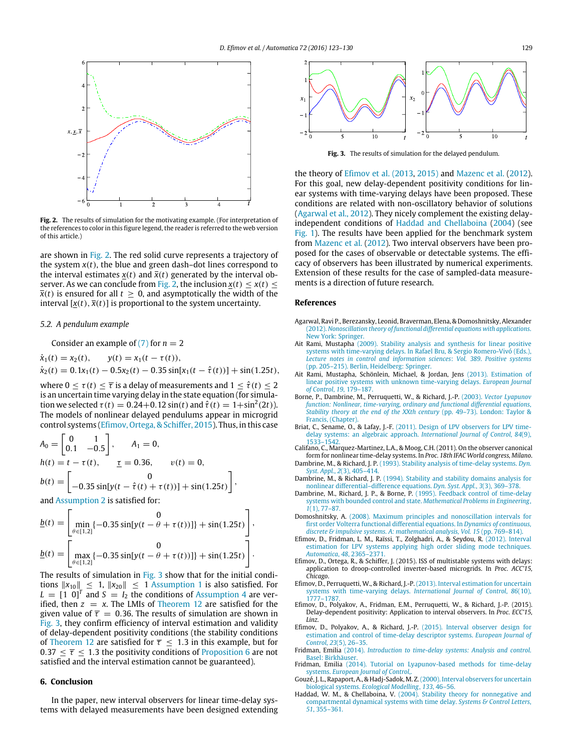<span id="page-6-18"></span>

**Fig. 2.** The results of simulation for the motivating example. (For interpretation of the references to color in this figure legend, the reader is referred to the web version of this article.)

are shown in [Fig. 2.](#page-6-18) The red solid curve represents a trajectory of the system  $x(t)$ , the blue and green dash–dot lines correspond to the interval estimates  $x(t)$  and  $\bar{x}(t)$  generated by the interval ob-server. As we can conclude from [Fig. 2,](#page-6-18) the inclusion  $x(t) \leq x(t) \leq$  $\bar{x}(t)$  is ensured for all  $t \geq 0$ , and asymptotically the width of the interval  $[x(t), \overline{x}(t)]$  is proportional to the system uncertainty.

#### *5.2. A pendulum example*

Consider an example of  $(7)$  for  $n = 2$ 

$$
\dot{x}_1(t) = x_2(t), \qquad y(t) = x_1(t - \tau(t)),
$$
  
\n
$$
\dot{x}_2(t) = 0.1x_1(t) - 0.5x_2(t) - 0.35\sin[x_1(t - \hat{\tau}(t))] + \sin(1.25t),
$$

where  $0 \le \tau(t) \le \overline{\tau}$  is a delay of measurements and  $1 \le \hat{\tau}(t) \le 2$ is an uncertain time varying delay in the state equation (for simulation we selected  $\tau(t) = 0.24 + 0.12 \sin(t)$  and  $\hat{\tau}(t) = 1 + \sin^2(2t)$ ). The models of nonlinear delayed pendulums appear in microgrid control systems [\(Efimov,](#page-6-19) Ortega, & Schiffer, [2015\)](#page-6-19). Thus, in this case

$$
A_0 = \begin{bmatrix} 0 & 1 \\ 0.1 & -0.5 \end{bmatrix}, \qquad A_1 = 0,
$$
  
\n
$$
h(t) = t - \tau(t), \qquad \underline{\tau} = 0.36, \qquad v(t) = 0,
$$
  
\n
$$
b(t) = \begin{bmatrix} 0 \\ -0.35 \sin[y(t - \hat{\tau}(t) + \tau(t))] + \sin(1.25t) \end{bmatrix},
$$

and [Assumption 2](#page-2-8) is satisfied for:

$$
\underline{b}(t) = \begin{bmatrix} 0 \\ \min_{\theta \in [1,2]} \{-0.35 \sin[y(t - \theta + \tau(t))] \} + \sin(1.25t) \end{bmatrix},
$$

$$
\underline{b}(t) = \begin{bmatrix} 0 \\ \max_{\theta \in [1,2]} \{-0.35 \sin[y(t - \theta + \tau(t))] \} + \sin(1.25t) \end{bmatrix}.
$$

The results of simulation in [Fig. 3](#page-6-20) show that for the initial conditions  $||x_{10}|| \le 1$ ,  $||x_{20}|| \le 1$  [Assumption 1](#page-2-0) is also satisfied. For  $L = [1 \ 0]^T$  and  $S = I_2$  the conditions of [Assumption 4](#page-4-3) are verified, then  $z = x$ . The LMIs of [Theorem 12](#page-5-0) are satisfied for the given value of  $\overline{\tau} = 0.36$ . The results of simulation are shown in [Fig. 3,](#page-6-20) they confirm efficiency of interval estimation and validity of delay-dependent positivity conditions (the stability conditions of [Theorem 12](#page-5-0) are satisfied for  $\overline{\tau} \leq 1.3$  in this example, but for  $0.37 \leq \overline{\tau} \leq 1.3$  the positivity conditions of [Proposition 6](#page-2-6) are not satisfied and the interval estimation cannot be guaranteed).

# **6. Conclusion**

In the paper, new interval observers for linear time-delay systems with delayed measurements have been designed extending

<span id="page-6-20"></span>

**Fig. 3.** The results of simulation for the delayed pendulum.

the theory of [Efimov](#page-6-4) [et al.](#page-6-4) [\(2013](#page-6-4)[,](#page-6-5) [2015\)](#page-6-5) and [Mazenc](#page-7-13) [et al.](#page-7-13) [\(2012\)](#page-7-13). For this goal, new delay-dependent positivity conditions for linear systems with time-varying delays have been proposed. These conditions are related with non-oscillatory behavior of solutions [\(Agarwal](#page-6-10) [et al.,](#page-6-10) [2012\)](#page-6-10). They nicely complement the existing delayindependent conditions of [Haddad](#page-6-7) [and](#page-6-7) [Chellaboina](#page-6-7) [\(2004\)](#page-6-7) (see [Fig. 1\)](#page-2-2). The results have been applied for the benchmark system from [Mazenc](#page-7-13) [et al.](#page-7-13) [\(2012\)](#page-7-13). Two interval observers have been proposed for the cases of observable or detectable systems. The efficacy of observers has been illustrated by numerical experiments. Extension of these results for the case of sampled-data measurements is a direction of future research.

#### **References**

- <span id="page-6-10"></span>Agarw[al, Ravi P., Berezansky, Leonid, Braverman, Elena, & Domoshnitsky, Alexander](http://refhub.elsevier.com/S0005-1098(16)30217-5/sbref1) (2012). *Nonoscillation theory of functional differential equations with applications*. New York: Springer.
- <span id="page-6-6"></span>Ait Rami, Mustapha (2009). Stability analysis and synthesis for linear positive sys[tems with time-varying delays. In Rafael Bru, & Sergio Romero-Vivó \(Eds.\),](http://refhub.elsevier.com/S0005-1098(16)30217-5/sbref2) *Lecture notes in control and information sciences*: *Vol. 389*. *Positive systems* (pp. 205–215). Berlin, Heidelberg: Springer.
- <span id="page-6-8"></span>Ait Rami, Mustapha, Schönlein, Michael, & Jordan, Jens (2013). Estimation of lin[ear positive systems with unknown time-varying delays.](http://refhub.elsevier.com/S0005-1098(16)30217-5/sbref3) *European Journal of Control*, *19*, 179–187.
- <span id="page-6-13"></span>Borne, P., Dambrine, M., Perruquetti, W., & Richard, J.-P. (2003). *Vector Lyapunov fun[ction: Nonlinear, time-varying, ordinary and functional differential equations](http://refhub.elsevier.com/S0005-1098(16)30217-5/sbref4)*, *Stability theory at the end of the XXth century* (pp. 49–73). London: Taylor & Francis, (Chapter).
- <span id="page-6-1"></span>Briat, C., Sename, O., & Lafay, J.-F. [\(2011\). Design of LPV observers for LPV time](http://refhub.elsevier.com/S0005-1098(16)30217-5/sbref5)delay systems: an algebraic approach. *International Journal of Control*, *84*(9),
- <span id="page-6-2"></span>1533–1542. Califano, C., Marquez-Martinez, L.A., & Moog, C.H. (2011). On the observer canonical form for nonlinear time-delay systems. In *Proc. 18th IFAC World congress, Milano*.
- <span id="page-6-14"></span>Dambrine, M., & Richard, J. P. [\(1993\). Stability analysis of time-delay systems.](http://refhub.elsevier.com/S0005-1098(16)30217-5/sbref7) *Dyn. Syst. Appl.*, *2*(3), 405–414. Dambrine, M., & Richard, J. P. [\(1994\). Stability and stability domains analysis for](http://refhub.elsevier.com/S0005-1098(16)30217-5/sbref8)
- <span id="page-6-15"></span>nonlinear differential–difference equations. *Dyn. Syst. Appl.*, *3*(3), 369–378.
- <span id="page-6-12"></span>Dambrine, M., Richard, J. P., & Borne, P. [\(1995\). Feedback control of time-delay](http://refhub.elsevier.com/S0005-1098(16)30217-5/sbref9) systems with bounded control and state. *Mathematical Problems in Engineering*, *1*(1), 77–87.
- <span id="page-6-11"></span>Domoshnitsky, A. [\(2008\). Maximum principles and nonoscillation intervals for](http://refhub.elsevier.com/S0005-1098(16)30217-5/sbref10) first order Volterra functional differential equations. In *Dynamics of continuous, discrete & impulsive systems. A: mathematical analysis, Vol. 15* (pp. 769–814).
- <span id="page-6-16"></span>Efimov, D., Fridman, L. M., Raïssi, T., Zolghadri, A., & Seydou, R. (2012). Interval est[imation for LPV systems applying high order sliding mode techniques.](http://refhub.elsevier.com/S0005-1098(16)30217-5/sbref11) *Automatica*, *48*, 2365–2371.
- <span id="page-6-19"></span>Efimov, D., Ortega, R., & Schiffer, J. (2015). ISS of multistable systems with delays: application to droop-controlled inverter-based microgrids. In *Proc. ACC'15, Chicago*.
- <span id="page-6-4"></span>Efimov, D., Perruquetti, W., & Richard, J.-P. [\(2013\). Interval estimation for uncertain](http://refhub.elsevier.com/S0005-1098(16)30217-5/sbref13) systems with time-varying delays. *International Journal of Control*, *86*(10), 1777–17
- <span id="page-6-9"></span>Efimov, D., Polyakov, A., Fridman, E.M., Perruquetti, W., & Richard, J.-P. (2015). Delay-dependent positivity: Application to interval observers. In *Proc. ECC'15, Linz*.
- <span id="page-6-5"></span>Efimov, D., Polyakov, A., & Richard, J.-P. (2015). Interval observer design for est[imation and control of time-delay descriptor systems.](http://refhub.elsevier.com/S0005-1098(16)30217-5/sbref15) *European Journal of Control*, *23*(5), 26–35.
- <span id="page-6-0"></span>Fridman, Emilia (2014). *[Introduction to time-delay systems: Analysis and control](http://refhub.elsevier.com/S0005-1098(16)30217-5/sbref16)*. Basel: Birkhäuser.
- <span id="page-6-17"></span>Fridman, Emilia [\(2014\). Tutorial on Lyapunov-based methods for time-delay](http://refhub.elsevier.com/S0005-1098(16)30217-5/sbref17) systems. *European Journal of Control*,.
- <span id="page-6-3"></span>Gouzé, [J. L., Rapaport, A., & Hadj-Sadok, M. Z.\(2000\). Interval observers for uncertain](http://refhub.elsevier.com/S0005-1098(16)30217-5/sbref18) biological systems. *Ecological Modelling*, *133*, 46–56.
- <span id="page-6-7"></span>Haddad, W. M., & Chellaboina, V. (2004). Stability theory for nonnegative and co[mpartmental dynamical systems with time delay.](http://refhub.elsevier.com/S0005-1098(16)30217-5/sbref19) *Systems & Control Letters*, *51*, 355–361.